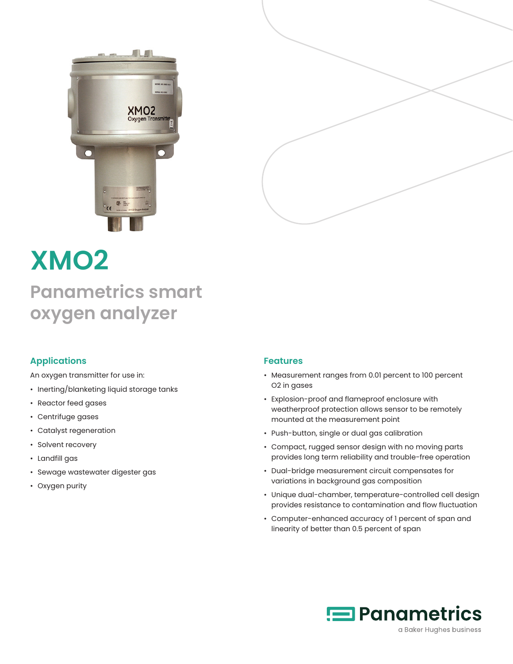



# **XMO2 Panametrics smart oxygen analyzer**

### **Applications**

An oxygen transmitter for use in:

- Inerting/blanketing liquid storage tanks
- Reactor feed gases
- Centrifuge gases
- Catalyst regeneration
- Solvent recovery
- Landfill gas
- Sewage wastewater digester gas
- Oxygen purity

#### **Features**

- Measurement ranges from 0.01 percent to 100 percent O2 in gases
- Explosion-proof and flameproof enclosure with weatherproof protection allows sensor to be remotely mounted at the measurement point
- Push-button, single or dual gas calibration
- Compact, rugged sensor design with no moving parts provides long term reliability and trouble-free operation
- Dual-bridge measurement circuit compensates for variations in background gas composition
- Unique dual-chamber, temperature-controlled cell design provides resistance to contamination and flow fluctuation
- Computer-enhanced accuracy of 1 percent of span and linearity of better than 0.5 percent of span

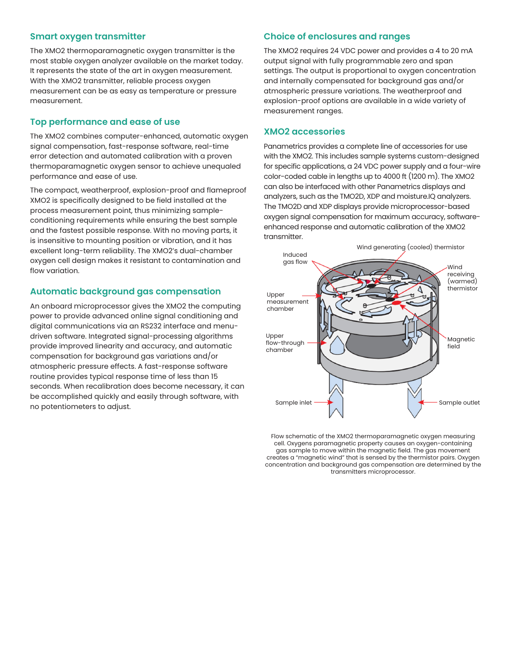#### **Smart oxygen transmitter**

The XMO2 thermoparamagnetic oxygen transmitter is the most stable oxygen analyzer available on the market today. It represents the state of the art in oxygen measurement. With the XMO2 transmitter, reliable process oxygen measurement can be as easy as temperature or pressure measurement.

#### **Top performance and ease of use**

The XMO2 combines computer-enhanced, automatic oxygen signal compensation, fast-response software, real-time error detection and automated calibration with a proven thermoparamagnetic oxygen sensor to achieve unequaled performance and ease of use.

The compact, weatherproof, explosion-proof and flameproof XMO2 is specifically designed to be field installed at the process measurement point, thus minimizing sampleconditioning requirements while ensuring the best sample and the fastest possible response. With no moving parts, it is insensitive to mounting position or vibration, and it has excellent long-term reliability. The XMO2's dual-chamber oxygen cell design makes it resistant to contamination and flow variation.

#### **Automatic background gas compensation**

An onboard microprocessor gives the XMO2 the computing power to provide advanced online signal conditioning and digital communications via an RS232 interface and menudriven software. Integrated signal-processing algorithms provide improved linearity and accuracy, and automatic compensation for background gas variations and/or atmospheric pressure effects. A fast-response software routine provides typical response time of less than 15 seconds. When recalibration does become necessary, it can be accomplished quickly and easily through software, with no potentiometers to adjust.

#### **Choice of enclosures and ranges**

The XMO2 requires 24 VDC power and provides a 4 to 20 mA output signal with fully programmable zero and span settings. The output is proportional to oxygen concentration and internally compensated for background gas and/or atmospheric pressure variations. The weatherproof and explosion-proof options are available in a wide variety of measurement ranges.

#### **XMO2 accessories**

Panametrics provides a complete line of accessories for use with the XMO2. This includes sample systems custom-designed for specific applications, a 24 VDC power supply and a four-wire color-coded cable in lengths up to 4000 ft (1200 m). The XMO2 can also be interfaced with other Panametrics displays and analyzers, such as the TMO2D, XDP and moisture.IQ analyzers. The TMO2D and XDP displays provide microprocessor-based oxygen signal compensation for maximum accuracy, softwareenhanced response and automatic calibration of the XMO2 transmitter.



Flow schematic of the XMO2 thermoparamagnetic oxygen measuring cell. Oxygens paramagnetic property causes an oxygen-containing gas sample to move within the magnetic field. The gas movement creates a "magnetic wind" that is sensed by the thermistor pairs. Oxygen concentration and background gas compensation are determined by the transmitters microprocessor.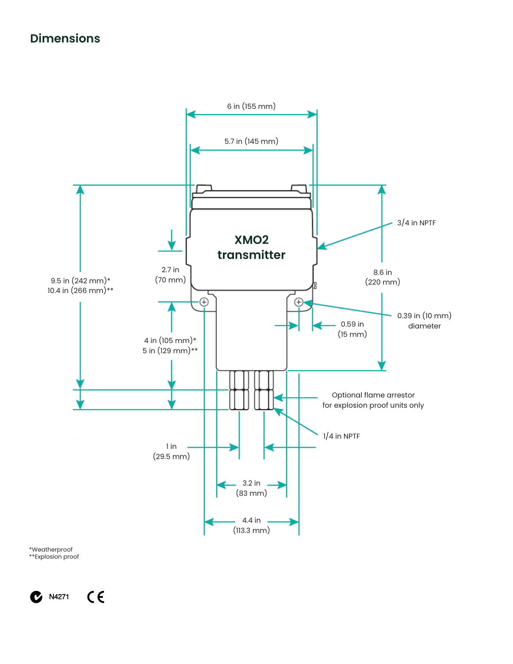# **Dimensions**



\*Weatherproof \*\*Explosion proof

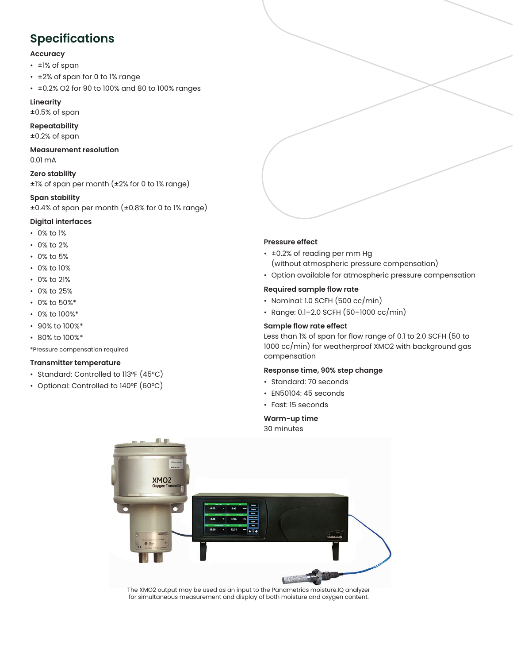# **Specifications**

#### **Accuracy**

- ±1% of span
- ±2% of span for 0 to 1% range
- ±0.2% O2 for 90 to 100% and 80 to 100% ranges

#### **Linearity**

±0.5% of span

#### **Repeatability**

±0.2% of span

#### **Measurement resolution** 0.01 mA

**Zero stability**  ±1% of span per month (±2% for 0 to 1% range)

#### **Span stability**

±0.4% of span per month (±0.8% for 0 to 1% range)

#### **Digital interfaces**

- 0% to 1%
- 0% to 2%
- 0% to 5%
- 0% to 10%
- 0% to 21%
- 0% to 25%
- 0% to 50%\*
- 0% to 100%\*
- 90% to 100%\*
- 80% to 100%\*

\*Pressure compensation required

#### **Transmitter temperature**

- Standard: Controlled to 113°F (45°C)
- Optional: Controlled to 140°F (60°C)

#### **Pressure effect**

- ±0.2% of reading per mm Hg
	- (without atmospheric pressure compensation)
- Option available for atmospheric pressure compensation

#### **Required sample flow rate**

- Nominal: 1.0 SCFH (500 cc/min)
- Range: 0.1–2.0 SCFH (50–1000 cc/min)

#### **Sample flow rate effect**

Less than 1% of span for flow range of 0.1 to 2.0 SCFH (50 to 1000 cc/min) for weatherproof XMO2 with background gas compensation

#### **Response time, 90% step change**

- Standard: 70 seconds
- EN50104: 45 seconds
- Fast: 15 seconds

#### **Warm-up time**

30 minutes



The XMO2 output may be used as an input to the Panametrics moisture.IQ analyzer for simultaneous measurement and display of both moisture and oxygen content.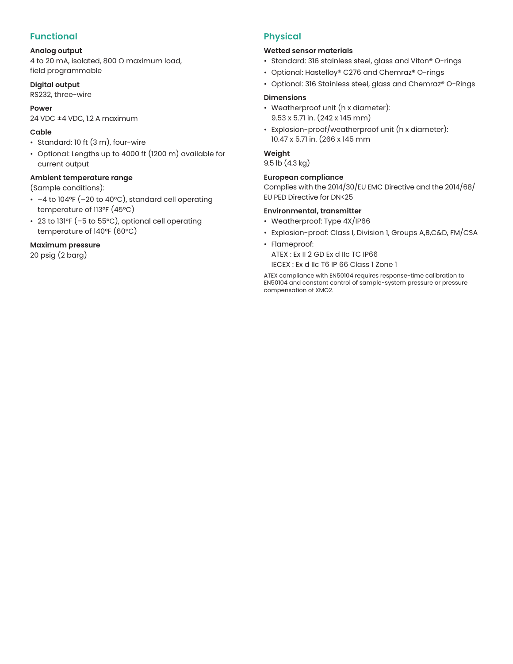## **Functional**

#### **Analog output**

4 to 20 mA, isolated, 800 Ω maximum load, field programmable

**Digital output**

RS232, three-wire

# **Power**

24 VDC ±4 VDC, 1.2 A maximum

#### **Cable**

- Standard: 10 ft (3 m), four-wire
- Optional: Lengths up to 4000 ft (1200 m) available for current output

#### **Ambient temperature range**

(Sample conditions):

- –4 to 104°F (–20 to 40°C), standard cell operating temperature of 113°F (45°C)
- 23 to 131°F (–5 to 55°C), optional cell operating temperature of 140°F (60°C)

#### **Maximum pressure**

20 psig (2 barg)

## **Physical**

#### **Wetted sensor materials**

- Standard: 316 stainless steel, glass and Viton® O-rings
- Optional: Hastelloy® C276 and Chemraz® O-rings
- Optional: 316 Stainless steel, glass and Chemraz® O-Rings

#### **Dimensions**

- Weatherproof unit (h x diameter): 9.53 x 5.71 in. (242 x 145 mm)
- Explosion-proof/weatherproof unit (h x diameter): 10.47 x 5.71 in. (266 x 145 mm

#### **Weight**

#### 9.5 lb (4.3 kg)

#### **European compliance**

Complies with the 2014/30/EU EMC Directive and the 2014/68/ EU PED Directive for DN<25

#### **Environmental, transmitter**

- Weatherproof: Type 4X/IP66
- Explosion-proof: Class I, Division 1, Groups A,B,C&D, FM/CSA
- Flameproof:

ATEX : Ex II 2 GD Ex d IIc TC IP66 IECEX : Ex d IIc T6 IP 66 Class 1 Zone 1

ATEX compliance with EN50104 requires response-time calibration to EN50104 and constant control of sample-system pressure or pressure compensation of XMO2.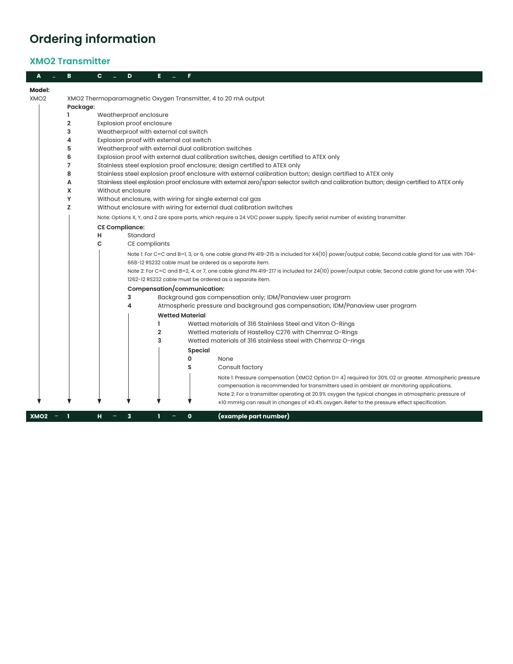# **Ordering information**

## **XMO2 Transmitter**

|                  | в                                                             | с | D                         |                |                                                                                                                                              |  |  |
|------------------|---------------------------------------------------------------|---|---------------------------|----------------|----------------------------------------------------------------------------------------------------------------------------------------------|--|--|
| <b>Model:</b>    |                                                               |   |                           |                |                                                                                                                                              |  |  |
| XMO <sub>2</sub> | XMO2 Thermoparamagnetic Oxygen Transmitter, 4 to 20 mA output |   |                           |                |                                                                                                                                              |  |  |
|                  | Package:                                                      |   |                           |                |                                                                                                                                              |  |  |
|                  |                                                               |   | Weatherproof enclosure    |                |                                                                                                                                              |  |  |
|                  | 2                                                             |   | Explosion proof enclosure |                |                                                                                                                                              |  |  |
|                  | 3                                                             |   |                           |                | Weatherproof with external cal switch                                                                                                        |  |  |
|                  | 4                                                             |   |                           |                | Explosion proof with external cal switch                                                                                                     |  |  |
|                  | 5                                                             |   |                           |                | Weatherproof with external dual calibration switches                                                                                         |  |  |
|                  | 6                                                             |   |                           |                | Explosion proof with external dual calibration switches, design certified to ATEX only                                                       |  |  |
|                  | 7                                                             |   |                           |                | Stainless steel explosion proof enclosure; design certified to ATEX only                                                                     |  |  |
|                  | 8                                                             |   |                           |                | Stainless steel explosion proof enclosure with external calibration button; design certified to ATEX only                                    |  |  |
|                  | Α                                                             |   |                           |                | Stainless steel explosion proof enclosure with external zero/span selector switch and calibration button; design certified to ATEX only      |  |  |
|                  | x                                                             |   | Without enclosure         |                |                                                                                                                                              |  |  |
|                  | Y<br>Z                                                        |   |                           |                | Without enclosure, with wiring for single external cal gas                                                                                   |  |  |
|                  |                                                               |   |                           |                | Without enclosure with wiring for external dual calibration switches                                                                         |  |  |
|                  |                                                               |   |                           |                | Note: Options X, Y, and Z are spare parts, which require a 24 VDC power supply. Specify serial number of existing transmitter.               |  |  |
|                  |                                                               |   | <b>CE Compliance:</b>     |                |                                                                                                                                              |  |  |
|                  |                                                               | н | Standard                  |                |                                                                                                                                              |  |  |
|                  |                                                               | C | CE compliants             |                |                                                                                                                                              |  |  |
|                  |                                                               |   |                           |                | Note 1: For C=C and B=1, 3, or 6, one cable gland PN 419-215 is included for X4(10) power/output cable; Second cable gland for use with 704- |  |  |
|                  |                                                               |   |                           |                | 668-12 RS232 cable must be ordered as a separate item.                                                                                       |  |  |
|                  |                                                               |   |                           |                | Note 2: For C=C and B=2, 4, or 7, one cable gland PN 419-217 is included for Z4(10) power/output cable; Second cable gland for use with 704- |  |  |
|                  |                                                               |   |                           |                | 1262-12 RS232 cable must be ordered as a separate item.                                                                                      |  |  |
|                  |                                                               |   |                           |                | Compensation/communication:                                                                                                                  |  |  |
|                  |                                                               |   | 3                         |                | Background gas compensation only; IDM/Panaview user program                                                                                  |  |  |
|                  |                                                               |   | 4                         |                | Atmospheric pressure and background gas compensation; IDM/Panaview user program                                                              |  |  |
|                  |                                                               |   |                           |                | <b>Wetted Material</b>                                                                                                                       |  |  |
|                  |                                                               |   |                           | 1              | Wetted materials of 316 Stainless Steel and Viton O-Rings                                                                                    |  |  |
|                  |                                                               |   |                           | $\overline{2}$ | Wetted materials of Hastelloy C276 with Chemraz O-Rings                                                                                      |  |  |
|                  |                                                               |   |                           | 3              | Wetted materials of 316 stainless steel with Chemraz O-rings                                                                                 |  |  |
|                  |                                                               |   |                           |                | Special                                                                                                                                      |  |  |
|                  |                                                               |   |                           |                | 0<br>None                                                                                                                                    |  |  |
|                  |                                                               |   |                           |                | Consult factory<br>s                                                                                                                         |  |  |
|                  |                                                               |   |                           |                | Note I: Pressure compensation (XMO2 Option D= 4) required for 30% O2 or greater. Atmospheric pressure                                        |  |  |
|                  |                                                               |   |                           |                | compensation is recommended for transmitters used in ambient air monitoring applications.                                                    |  |  |
|                  |                                                               |   |                           |                | Note 2: For a transmitter operating at 20.9% oxygen the typical changes in atmospheric pressure of                                           |  |  |
|                  |                                                               |   |                           |                | ±10 mmHg can result in changes of ±0.4% oxygen. Refer to the pressure effect specification.                                                  |  |  |
| XMO <sub>2</sub> |                                                               | н | 3                         | 1              | (example part number)<br>$\mathbf o$                                                                                                         |  |  |